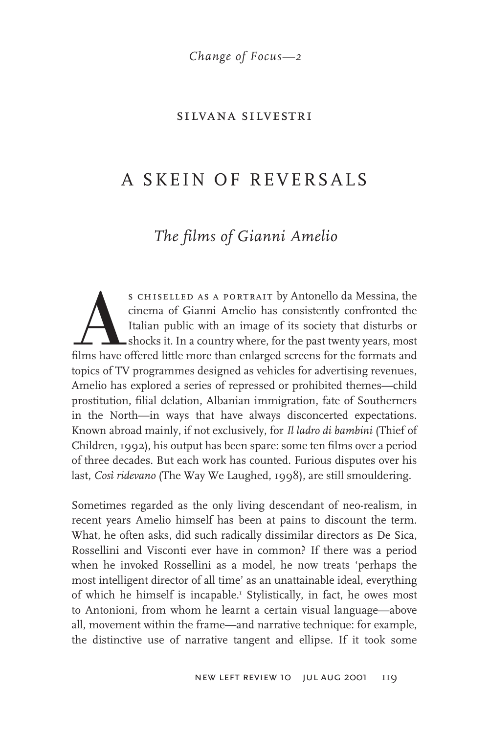*Change of Focus—2*

#### silvana silvestri

# A SKEIN OF REVERSALS

# *The films of Gianni Amelio*

S CHISELLED AS A PORTRAIT by Antonello da Messina, the cinema of Gianni Amelio has consistently confronted the Italian public with an image of its society that disturbs or shocks it. In a country where, for the past twenty cinema of Gianni Amelio has consistently confronted the Italian public with an image of its society that disturbs or shocks it. In a country where, for the past twenty years, most films have offered little more than enlarged screens for the formats and topics of TV programmes designed as vehicles for advertising revenues, Amelio has explored a series of repressed or prohibited themes—child prostitution, filial delation, Albanian immigration, fate of Southerners in the North—in ways that have always disconcerted expectations. Known abroad mainly, if not exclusively, for *Il ladro di bambini* (Thief of Children, 1992), his output has been spare: some ten films over a period of three decades. But each work has counted. Furious disputes over his last, *Così ridevano* (The Way We Laughed, 1998), are still smouldering.

Sometimes regarded as the only living descendant of neo-realism, in recent years Amelio himself has been at pains to discount the term. What, he often asks, did such radically dissimilar directors as De Sica, Rossellini and Visconti ever have in common? If there was a period when he invoked Rossellini as a model, he now treats 'perhaps the most intelligent director of all time' as an unattainable ideal, everything of which he himself is incapable.1 Stylistically, in fact, he owes most to Antonioni, from whom he learnt a certain visual language—above all, movement within the frame—and narrative technique: for example, the distinctive use of narrative tangent and ellipse. If it took some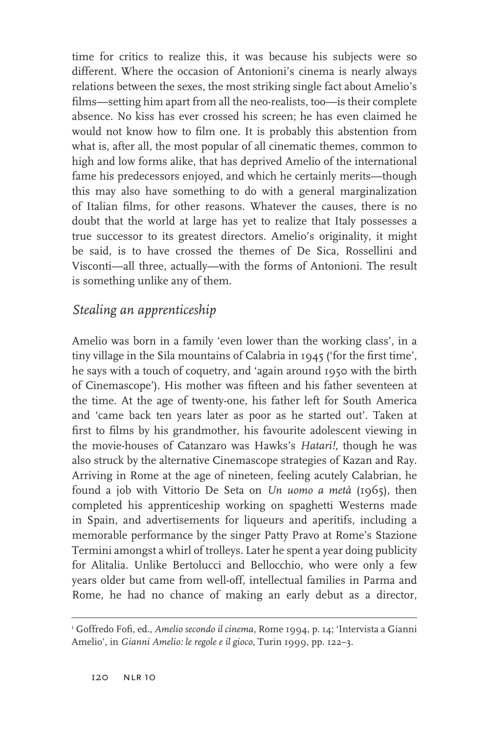time for critics to realize this, it was because his subjects were so different. Where the occasion of Antonioni's cinema is nearly always relations between the sexes, the most striking single fact about Amelio's films—setting him apart from all the neo-realists, too—is their complete absence. No kiss has ever crossed his screen; he has even claimed he would not know how to film one. It is probably this abstention from what is, after all, the most popular of all cinematic themes, common to high and low forms alike, that has deprived Amelio of the international fame his predecessors enjoyed, and which he certainly merits—though this may also have something to do with a general marginalization of Italian films, for other reasons. Whatever the causes, there is no doubt that the world at large has yet to realize that Italy possesses a true successor to its greatest directors. Amelio's originality, it might be said, is to have crossed the themes of De Sica, Rossellini and Visconti—all three, actually—with the forms of Antonioni. The result is something unlike any of them.

#### *Stealing an apprenticeship*

Amelio was born in a family 'even lower than the working class', in a tiny village in the Sila mountains of Calabria in  $1945$  ('for the first time', he says with a touch of coquetry, and 'again around 1950 with the birth of Cinemascope'). His mother was fifteen and his father seventeen at the time. At the age of twenty-one, his father left for South America and 'came back ten years later as poor as he started out'. Taken at first to films by his grandmother, his favourite adolescent viewing in the movie-houses of Catanzaro was Hawks's *Hatari!*, though he was also struck by the alternative Cinemascope strategies of Kazan and Ray. Arriving in Rome at the age of nineteen, feeling acutely Calabrian, he found a job with Vittorio De Seta on *Un uomo a metà* (1965), then completed his apprenticeship working on spaghetti Westerns made in Spain, and advertisements for liqueurs and aperitifs, including a memorable performance by the singer Patty Pravo at Rome's Stazione Termini amongst a whirl of trolleys. Later he spent a year doing publicity for Alitalia. Unlike Bertolucci and Bellocchio, who were only a few years older but came from well-off, intellectual families in Parma and Rome, he had no chance of making an early debut as a director,

<sup>&</sup>lt;sup>1</sup> Goffredo Fofi, ed., *Amelio secondo il cinema*, Rome 1994, p. 14; 'Intervista a Gianni Amelio', in *Gianni Amelio: le regole e il gioco*, Turin 1999, pp. 122–3.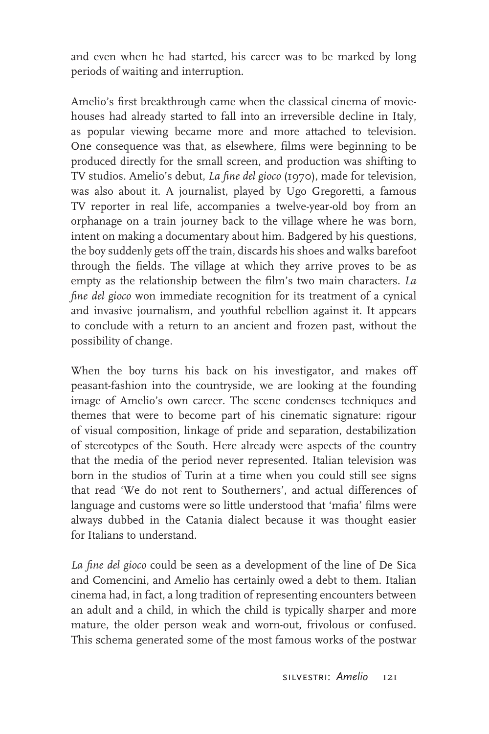and even when he had started, his career was to be marked by long periods of waiting and interruption.

Amelio's first breakthrough came when the classical cinema of moviehouses had already started to fall into an irreversible decline in Italy, as popular viewing became more and more attached to television. One consequence was that, as elsewhere, films were beginning to be produced directly for the small screen, and production was shifting to TV studios. Amelio's debut, *La fine del gioco* (1970), made for television, was also about it. A journalist, played by Ugo Gregoretti, a famous TV reporter in real life, accompanies a twelve-year-old boy from an orphanage on a train journey back to the village where he was born, intent on making a documentary about him. Badgered by his questions, the boy suddenly gets off the train, discards his shoes and walks barefoot through the fields. The village at which they arrive proves to be as empty as the relationship between the film's two main characters. *La fine del gioco* won immediate recognition for its treatment of a cynical and invasive journalism, and youthful rebellion against it. It appears to conclude with a return to an ancient and frozen past, without the possibility of change.

When the boy turns his back on his investigator, and makes off peasant-fashion into the countryside, we are looking at the founding image of Amelio's own career. The scene condenses techniques and themes that were to become part of his cinematic signature: rigour of visual composition, linkage of pride and separation, destabilization of stereotypes of the South. Here already were aspects of the country that the media of the period never represented. Italian television was born in the studios of Turin at a time when you could still see signs that read 'We do not rent to Southerners', and actual differences of language and customs were so little understood that 'mafia' films were always dubbed in the Catania dialect because it was thought easier for Italians to understand.

La fine del gioco could be seen as a development of the line of De Sica and Comencini, and Amelio has certainly owed a debt to them. Italian cinema had, in fact, a long tradition of representing encounters between an adult and a child, in which the child is typically sharper and more mature, the older person weak and worn-out, frivolous or confused. This schema generated some of the most famous works of the postwar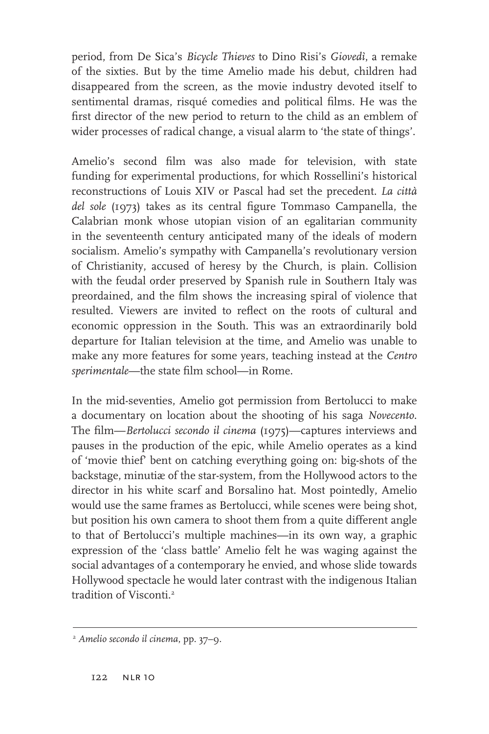period, from De Sica's *Bicycle Thieves* to Dino Risi's *Giovedì*, a remake of the sixties. But by the time Amelio made his debut, children had disappeared from the screen, as the movie industry devoted itself to sentimental dramas, risqué comedies and political films. He was the first director of the new period to return to the child as an emblem of wider processes of radical change, a visual alarm to 'the state of things'.

Amelio's second film was also made for television, with state funding for experimental productions, for which Rossellini's historical reconstructions of Louis XIV or Pascal had set the precedent. *La città del sole* (1973) takes as its central figure Tommaso Campanella, the Calabrian monk whose utopian vision of an egalitarian community in the seventeenth century anticipated many of the ideals of modern socialism. Amelio's sympathy with Campanella's revolutionary version of Christianity, accused of heresy by the Church, is plain. Collision with the feudal order preserved by Spanish rule in Southern Italy was preordained, and the film shows the increasing spiral of violence that resulted. Viewers are invited to reflect on the roots of cultural and economic oppression in the South. This was an extraordinarily bold departure for Italian television at the time, and Amelio was unable to make any more features for some years, teaching instead at the *Centro*  sperimentale—the state film school—in Rome.

In the mid-seventies, Amelio got permission from Bertolucci to make a documentary on location about the shooting of his saga *Novecento*. The film—*Bertolucci secondo il cinema* (1975)—captures interviews and pauses in the production of the epic, while Amelio operates as a kind of 'movie thief' bent on catching everything going on: big-shots of the backstage, minutiæ of the star-system, from the Hollywood actors to the director in his white scarf and Borsalino hat. Most pointedly, Amelio would use the same frames as Bertolucci, while scenes were being shot, but position his own camera to shoot them from a quite different angle to that of Bertolucci's multiple machines—in its own way, a graphic expression of the 'class battle' Amelio felt he was waging against the social advantages of a contemporary he envied, and whose slide towards Hollywood spectacle he would later contrast with the indigenous Italian tradition of Visconti.2

<sup>2</sup> *Amelio secondo il cinema*, pp. 37–9.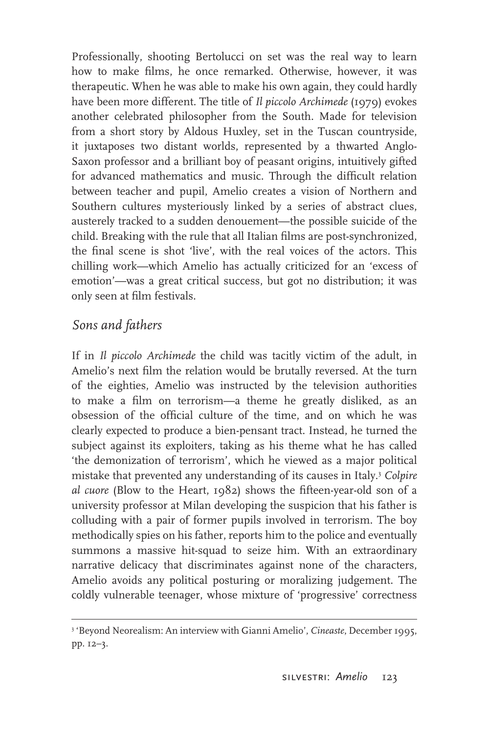Professionally, shooting Bertolucci on set was the real way to learn how to make films, he once remarked. Otherwise, however, it was therapeutic. When he was able to make his own again, they could hardly have been more different. The title of *Il piccolo Archimede* (1979) evokes another celebrated philosopher from the South. Made for television from a short story by Aldous Huxley, set in the Tuscan countryside, it juxtaposes two distant worlds, represented by a thwarted Anglo-Saxon professor and a brilliant boy of peasant origins, intuitively gifted for advanced mathematics and music. Through the difficult relation between teacher and pupil, Amelio creates a vision of Northern and Southern cultures mysteriously linked by a series of abstract clues, austerely tracked to a sudden denouement—the possible suicide of the child. Breaking with the rule that all Italian films are post-synchronized, the final scene is shot 'live', with the real voices of the actors. This chilling work—which Amelio has actually criticized for an 'excess of emotion'—was a great critical success, but got no distribution; it was only seen at film festivals.

#### *Sons and fathers*

If in *Il piccolo Archimede* the child was tacitly victim of the adult, in Amelio's next film the relation would be brutally reversed. At the turn of the eighties, Amelio was instructed by the television authorities to make a film on terrorism—a theme he greatly disliked, as an obsession of the official culture of the time, and on which he was clearly expected to produce a bien-pensant tract. Instead, he turned the subject against its exploiters, taking as his theme what he has called 'the demonization of terrorism', which he viewed as a major political mistake that prevented any understanding of its causes in Italy.3 *Colpire*  al cuore (Blow to the Heart, 1982) shows the fifteen-year-old son of a university professor at Milan developing the suspicion that his father is colluding with a pair of former pupils involved in terrorism. The boy methodically spies on his father, reports him to the police and eventually summons a massive hit-squad to seize him. With an extraordinary narrative delicacy that discriminates against none of the characters, Amelio avoids any political posturing or moralizing judgement. The coldly vulnerable teenager, whose mixture of 'progressive' correctness

<sup>3</sup> 'Beyond Neorealism: An interview with Gianni Amelio', *Cineaste*, December 1995, pp. 12–3.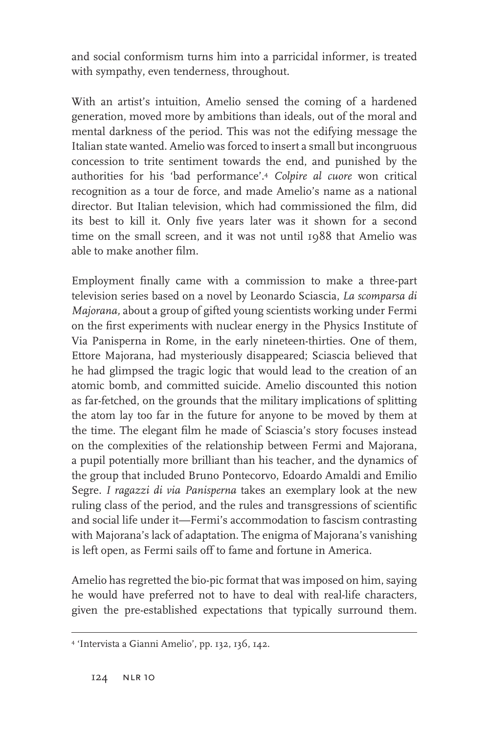and social conformism turns him into a parricidal informer, is treated with sympathy, even tenderness, throughout.

With an artist's intuition, Amelio sensed the coming of a hardened generation, moved more by ambitions than ideals, out of the moral and mental darkness of the period. This was not the edifying message the Italian state wanted. Amelio was forced to insert a small but incongruous concession to trite sentiment towards the end, and punished by the authorities for his 'bad performance'.4 *Colpire al cuore* won critical recognition as a tour de force, and made Amelio's name as a national director. But Italian television, which had commissioned the film, did its best to kill it. Only five years later was it shown for a second time on the small screen, and it was not until 1988 that Amelio was able to make another film.

Employment finally came with a commission to make a three-part television series based on a novel by Leonardo Sciascia, *La scomparsa di Majorana,* about a group of gifted young scientists working under Fermi on the first experiments with nuclear energy in the Physics Institute of Via Panisperna in Rome, in the early nineteen-thirties. One of them, Ettore Majorana, had mysteriously disappeared; Sciascia believed that he had glimpsed the tragic logic that would lead to the creation of an atomic bomb, and committed suicide. Amelio discounted this notion as far-fetched, on the grounds that the military implications of splitting the atom lay too far in the future for anyone to be moved by them at the time. The elegant film he made of Sciascia's story focuses instead on the complexities of the relationship between Fermi and Majorana, a pupil potentially more brilliant than his teacher, and the dynamics of the group that included Bruno Pontecorvo, Edoardo Amaldi and Emilio Segre. *I ragazzi di via Panisperna* takes an exemplary look at the new ruling class of the period, and the rules and transgressions of scientific and social life under it—Fermi's accommodation to fascism contrasting with Majorana's lack of adaptation. The enigma of Majorana's vanishing is left open, as Fermi sails off to fame and fortune in America.

Amelio has regretted the bio-pic format that was imposed on him, saying he would have preferred not to have to deal with real-life characters, given the pre-established expectations that typically surround them.

<sup>4</sup> 'Intervista a Gianni Amelio', pp. 132, 136, 142.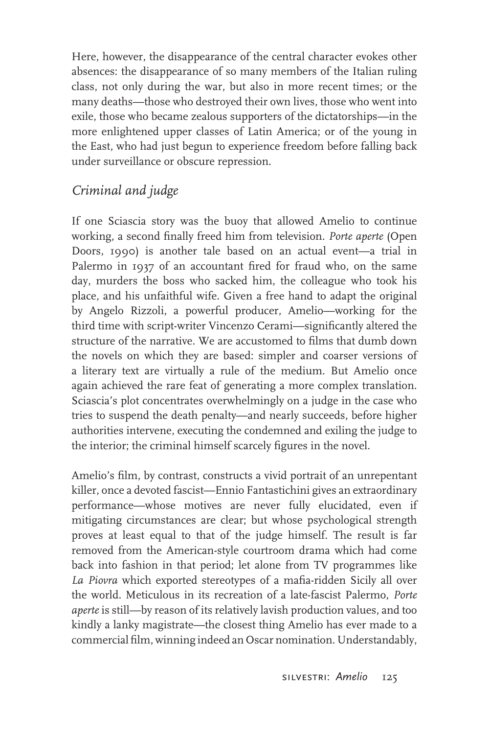Here, however, the disappearance of the central character evokes other absences: the disappearance of so many members of the Italian ruling class, not only during the war, but also in more recent times; or the many deaths—those who destroyed their own lives, those who went into exile, those who became zealous supporters of the dictatorships—in the more enlightened upper classes of Latin America; or of the young in the East, who had just begun to experience freedom before falling back under surveillance or obscure repression.

## *Criminal and judge*

If one Sciascia story was the buoy that allowed Amelio to continue working, a second finally freed him from television. Porte aperte (Open Doors, 1990) is another tale based on an actual event—a trial in Palermo in 1937 of an accountant fired for fraud who, on the same day, murders the boss who sacked him, the colleague who took his place, and his unfaithful wife. Given a free hand to adapt the original by Angelo Rizzoli, a powerful producer, Amelio—working for the third time with script-writer Vincenzo Cerami—significantly altered the structure of the narrative. We are accustomed to films that dumb down the novels on which they are based: simpler and coarser versions of a literary text are virtually a rule of the medium. But Amelio once again achieved the rare feat of generating a more complex translation. Sciascia's plot concentrates overwhelmingly on a judge in the case who tries to suspend the death penalty—and nearly succeeds, before higher authorities intervene, executing the condemned and exiling the judge to the interior; the criminal himself scarcely figures in the novel.

Amelio's film, by contrast, constructs a vivid portrait of an unrepentant killer, once a devoted fascist—Ennio Fantastichini gives an extraordinary performance—whose motives are never fully elucidated, even if mitigating circumstances are clear; but whose psychological strength proves at least equal to that of the judge himself. The result is far removed from the American-style courtroom drama which had come back into fashion in that period; let alone from TV programmes like La Piovra which exported stereotypes of a mafia-ridden Sicily all over the world. Meticulous in its recreation of a late-fascist Palermo, *Porte aperte* is still—by reason of its relatively lavish production values, and too kindly a lanky magistrate—the closest thing Amelio has ever made to a commercial film, winning indeed an Oscar nomination. Understandably,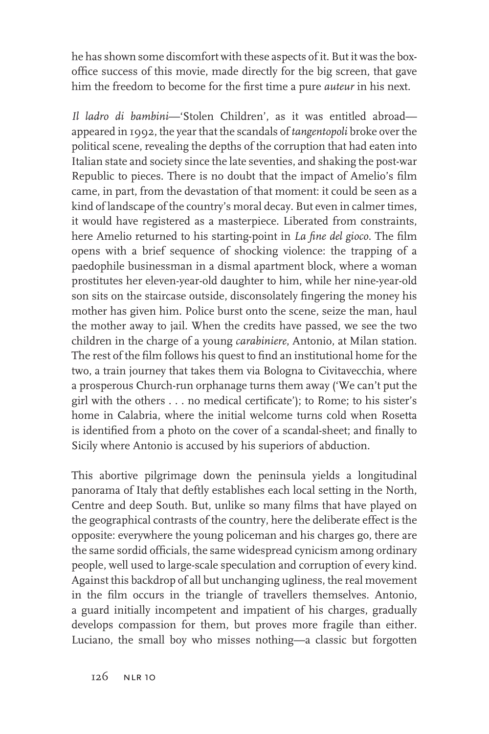he has shown some discomfort with these aspects of it. But it was the boxoffice success of this movie, made directly for the big screen, that gave him the freedom to become for the first time a pure *auteur* in his next.

*Il ladro di bambini*—'Stolen Children', as it was entitled abroad appeared in 1992, the year that the scandals of *tangentopoli* broke over the political scene, revealing the depths of the corruption that had eaten into Italian state and society since the late seventies, and shaking the post-war Republic to pieces. There is no doubt that the impact of Amelio's film came, in part, from the devastation of that moment: it could be seen as a kind of landscape of the country's moral decay. But even in calmer times, it would have registered as a masterpiece. Liberated from constraints, here Amelio returned to his starting-point in *La fine del gioco*. The film opens with a brief sequence of shocking violence: the trapping of a paedophile businessman in a dismal apartment block, where a woman prostitutes her eleven-year-old daughter to him, while her nine-year-old son sits on the staircase outside, disconsolately fingering the money his mother has given him. Police burst onto the scene, seize the man, haul the mother away to jail. When the credits have passed, we see the two children in the charge of a young *carabiniere*, Antonio, at Milan station. The rest of the film follows his quest to find an institutional home for the two, a train journey that takes them via Bologna to Civitavecchia, where a prosperous Church-run orphanage turns them away ('We can't put the girl with the others . . . no medical certificate'); to Rome; to his sister's home in Calabria, where the initial welcome turns cold when Rosetta is identified from a photo on the cover of a scandal-sheet; and finally to Sicily where Antonio is accused by his superiors of abduction.

This abortive pilgrimage down the peninsula yields a longitudinal panorama of Italy that deftly establishes each local setting in the North, Centre and deep South. But, unlike so many films that have played on the geographical contrasts of the country, here the deliberate effect is the opposite: everywhere the young policeman and his charges go, there are the same sordid officials, the same widespread cynicism among ordinary people, well used to large-scale speculation and corruption of every kind. Against this backdrop of all but unchanging ugliness, the real movement in the film occurs in the triangle of travellers themselves. Antonio, a guard initially incompetent and impatient of his charges, gradually develops compassion for them, but proves more fragile than either. Luciano, the small boy who misses nothing—a classic but forgotten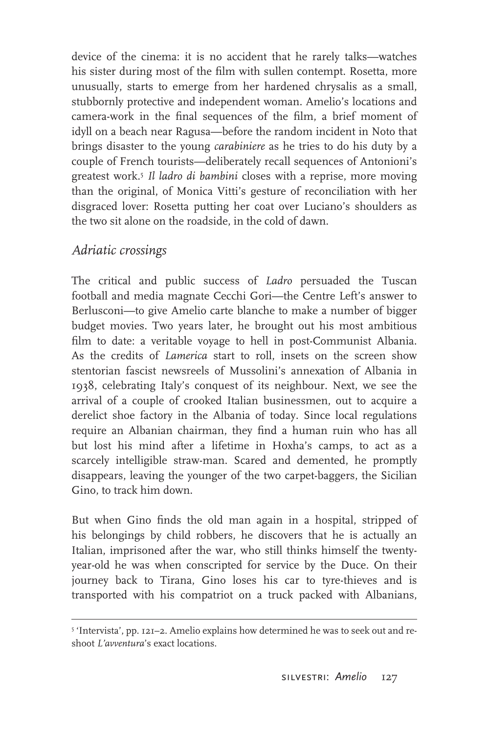device of the cinema: it is no accident that he rarely talks—watches his sister during most of the film with sullen contempt. Rosetta, more unusually, starts to emerge from her hardened chrysalis as a small, stubbornly protective and independent woman. Amelio's locations and camera-work in the final sequences of the film, a brief moment of idyll on a beach near Ragusa—before the random incident in Noto that brings disaster to the young *carabiniere* as he tries to do his duty by a couple of French tourists—deliberately recall sequences of Antonioni's greatest work.5 *Il ladro di bambini* closes with a reprise, more moving than the original, of Monica Vitti's gesture of reconciliation with her disgraced lover: Rosetta putting her coat over Luciano's shoulders as the two sit alone on the roadside, in the cold of dawn.

#### *Adriatic crossings*

The critical and public success of *Ladro* persuaded the Tuscan football and media magnate Cecchi Gori—the Centre Left's answer to Berlusconi—to give Amelio carte blanche to make a number of bigger budget movies. Two years later, he brought out his most ambitious film to date: a veritable voyage to hell in post-Communist Albania. As the credits of *Lamerica* start to roll, insets on the screen show stentorian fascist newsreels of Mussolini's annexation of Albania in 1938, celebrating Italy's conquest of its neighbour. Next, we see the arrival of a couple of crooked Italian businessmen, out to acquire a derelict shoe factory in the Albania of today. Since local regulations require an Albanian chairman, they find a human ruin who has all but lost his mind after a lifetime in Hoxha's camps, to act as a scarcely intelligible straw-man. Scared and demented, he promptly disappears, leaving the younger of the two carpet-baggers, the Sicilian Gino, to track him down.

But when Gino finds the old man again in a hospital, stripped of his belongings by child robbers, he discovers that he is actually an Italian, imprisoned after the war, who still thinks himself the twentyyear-old he was when conscripted for service by the Duce. On their journey back to Tirana, Gino loses his car to tyre-thieves and is transported with his compatriot on a truck packed with Albanians,

<sup>5</sup> 'Intervista', pp. 121–2. Amelio explains how determined he was to seek out and reshoot *L'avventura*'s exact locations.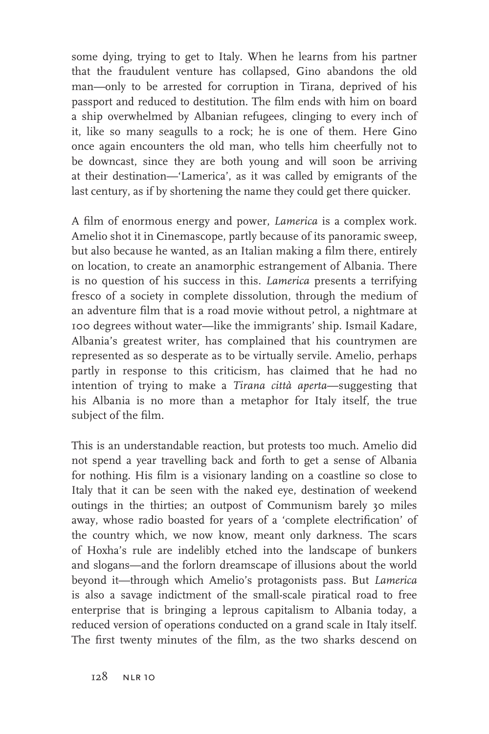some dying, trying to get to Italy. When he learns from his partner that the fraudulent venture has collapsed, Gino abandons the old man—only to be arrested for corruption in Tirana, deprived of his passport and reduced to destitution. The film ends with him on board a ship overwhelmed by Albanian refugees, clinging to every inch of it, like so many seagulls to a rock; he is one of them. Here Gino once again encounters the old man, who tells him cheerfully not to be downcast, since they are both young and will soon be arriving at their destination—'Lamerica', as it was called by emigrants of the last century, as if by shortening the name they could get there quicker.

A film of enormous energy and power, *Lamerica* is a complex work. Amelio shot it in Cinemascope, partly because of its panoramic sweep, but also because he wanted, as an Italian making a film there, entirely on location, to create an anamorphic estrangement of Albania. There is no question of his success in this. *Lamerica* presents a terrifying fresco of a society in complete dissolution, through the medium of an adventure film that is a road movie without petrol, a nightmare at 100 degrees without water—like the immigrants' ship. Ismail Kadare, Albania's greatest writer, has complained that his countrymen are represented as so desperate as to be virtually servile. Amelio, perhaps partly in response to this criticism, has claimed that he had no intention of trying to make a *Tirana città aperta*—suggesting that his Albania is no more than a metaphor for Italy itself, the true subject of the film.

This is an understandable reaction, but protests too much. Amelio did not spend a year travelling back and forth to get a sense of Albania for nothing. His film is a visionary landing on a coastline so close to Italy that it can be seen with the naked eye, destination of weekend outings in the thirties; an outpost of Communism barely 30 miles away, whose radio boasted for years of a 'complete electrification' of the country which, we now know, meant only darkness. The scars of Hoxha's rule are indelibly etched into the landscape of bunkers and slogans—and the forlorn dreamscape of illusions about the world beyond it—through which Amelio's protagonists pass. But *Lamerica* is also a savage indictment of the small-scale piratical road to free enterprise that is bringing a leprous capitalism to Albania today, a reduced version of operations conducted on a grand scale in Italy itself. The first twenty minutes of the film, as the two sharks descend on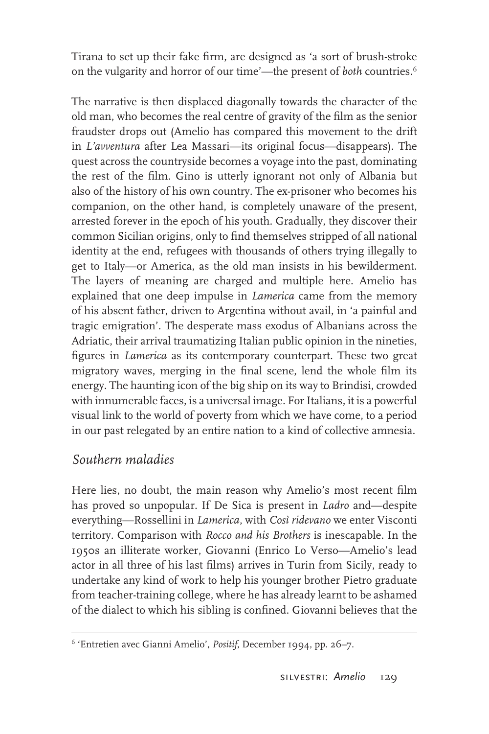Tirana to set up their fake firm, are designed as 'a sort of brush-stroke on the vulgarity and horror of our time'—the present of *both* countries.6

The narrative is then displaced diagonally towards the character of the old man, who becomes the real centre of gravity of the film as the senior fraudster drops out (Amelio has compared this movement to the drift in *L'avventura* after Lea Massari—its original focus—disappears). The quest across the countryside becomes a voyage into the past, dominating the rest of the film. Gino is utterly ignorant not only of Albania but also of the history of his own country. The ex-prisoner who becomes his companion, on the other hand, is completely unaware of the present, arrested forever in the epoch of his youth. Gradually, they discover their common Sicilian origins, only to find themselves stripped of all national identity at the end, refugees with thousands of others trying illegally to get to Italy—or America, as the old man insists in his bewilderment. The layers of meaning are charged and multiple here. Amelio has explained that one deep impulse in *Lamerica* came from the memory of his absent father, driven to Argentina without avail, in 'a painful and tragic emigration'. The desperate mass exodus of Albanians across the Adriatic, their arrival traumatizing Italian public opinion in the nineties, figures in *Lamerica* as its contemporary counterpart. These two great migratory waves, merging in the final scene, lend the whole film its energy. The haunting icon of the big ship on its way to Brindisi, crowded with innumerable faces, is a universal image. For Italians, it is a powerful visual link to the world of poverty from which we have come, to a period in our past relegated by an entire nation to a kind of collective amnesia.

### *Southern maladies*

Here lies, no doubt, the main reason why Amelio's most recent film has proved so unpopular. If De Sica is present in *Ladro* and—despite everything—Rossellini in *Lamerica*, with *Così ridevano* we enter Visconti territory. Comparison with *Rocco and his Brothers* is inescapable. In the 1950s an illiterate worker, Giovanni (Enrico Lo Verso—Amelio's lead actor in all three of his last films) arrives in Turin from Sicily, ready to undertake any kind of work to help his younger brother Pietro graduate from teacher-training college, where he has already learnt to be ashamed of the dialect to which his sibling is confined. Giovanni believes that the

<sup>6 &#</sup>x27;Entretien avec Gianni Amelio', *Positif*, December 1994, pp. 26–7.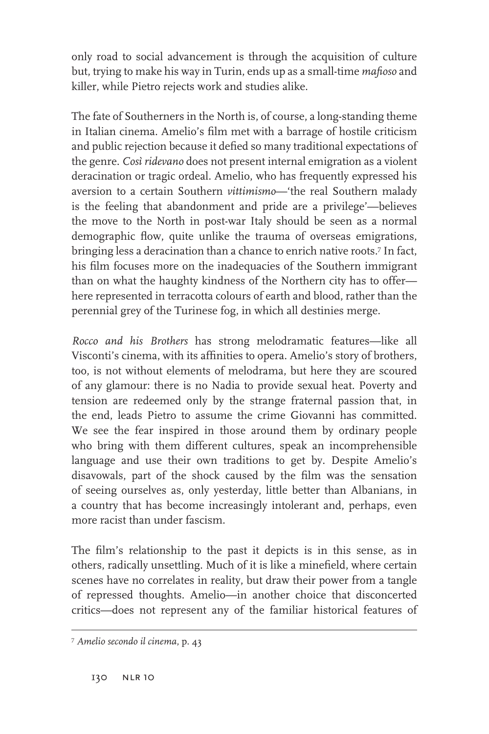only road to social advancement is through the acquisition of culture but, trying to make his way in Turin, ends up as a small-time *mafioso* and killer, while Pietro rejects work and studies alike.

The fate of Southerners in the North is, of course, a long-standing theme in Italian cinema. Amelio's film met with a barrage of hostile criticism and public rejection because it defied so many traditional expectations of the genre. *Così ridevano* does not present internal emigration as a violent deracination or tragic ordeal. Amelio, who has frequently expressed his aversion to a certain Southern *vittimismo*—'the real Southern malady is the feeling that abandonment and pride are a privilege'—believes the move to the North in post-war Italy should be seen as a normal demographic flow, quite unlike the trauma of overseas emigrations, bringing less a deracination than a chance to enrich native roots.7 In fact, his film focuses more on the inadequacies of the Southern immigrant than on what the haughty kindness of the Northern city has to offer here represented in terracotta colours of earth and blood, rather than the perennial grey of the Turinese fog, in which all destinies merge.

*Rocco and his Brothers* has strong melodramatic features—like all Visconti's cinema, with its affinities to opera. Amelio's story of brothers, too, is not without elements of melodrama, but here they are scoured of any glamour: there is no Nadia to provide sexual heat. Poverty and tension are redeemed only by the strange fraternal passion that, in the end, leads Pietro to assume the crime Giovanni has committed. We see the fear inspired in those around them by ordinary people who bring with them different cultures, speak an incomprehensible language and use their own traditions to get by. Despite Amelio's disavowals, part of the shock caused by the film was the sensation of seeing ourselves as, only yesterday, little better than Albanians, in a country that has become increasingly intolerant and, perhaps, even more racist than under fascism.

The film's relationship to the past it depicts is in this sense, as in others, radically unsettling. Much of it is like a minefield, where certain scenes have no correlates in reality, but draw their power from a tangle of repressed thoughts. Amelio—in another choice that disconcerted critics—does not represent any of the familiar historical features of

<sup>7</sup> *Amelio secondo il cinema*, p. 43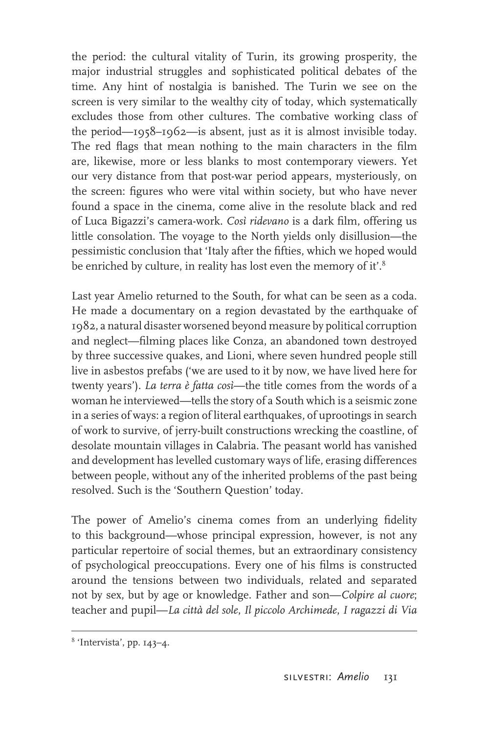the period: the cultural vitality of Turin, its growing prosperity, the major industrial struggles and sophisticated political debates of the time. Any hint of nostalgia is banished. The Turin we see on the screen is very similar to the wealthy city of today, which systematically excludes those from other cultures. The combative working class of the period—1958–1962—is absent, just as it is almost invisible today. The red flags that mean nothing to the main characters in the film are, likewise, more or less blanks to most contemporary viewers. Yet our very distance from that post-war period appears, mysteriously, on the screen: figures who were vital within society, but who have never found a space in the cinema, come alive in the resolute black and red of Luca Bigazzi's camera-work. *Così ridevano* is a dark film, offering us little consolation. The voyage to the North yields only disillusion—the pessimistic conclusion that 'Italy after the fifties, which we hoped would be enriched by culture, in reality has lost even the memory of it'.<sup>8</sup>

Last year Amelio returned to the South, for what can be seen as a coda. He made a documentary on a region devastated by the earthquake of 1982, a natural disaster worsened beyond measure by political corruption and neglect—filming places like Conza, an abandoned town destroyed by three successive quakes, and Lioni, where seven hundred people still live in asbestos prefabs ('we are used to it by now, we have lived here for twenty years'). *La terra è fatta così*—the title comes from the words of a woman he interviewed—tells the story of a South which is a seismic zone in a series of ways: a region of literal earthquakes, of uprootings in search of work to survive, of jerry-built constructions wrecking the coastline, of desolate mountain villages in Calabria. The peasant world has vanished and development has levelled customary ways of life, erasing differences between people, without any of the inherited problems of the past being resolved. Such is the 'Southern Question' today.

The power of Amelio's cinema comes from an underlying fidelity to this background—whose principal expression, however, is not any particular repertoire of social themes, but an extraordinary consistency of psychological preoccupations. Every one of his films is constructed around the tensions between two individuals, related and separated not by sex, but by age or knowledge. Father and son—*Colpire al cuore*; teacher and pupil—*La città del sole*, *Il piccolo Archimede*, *I ragazzi di Via* 

<sup>8</sup> 'Intervista', pp. 143–4.